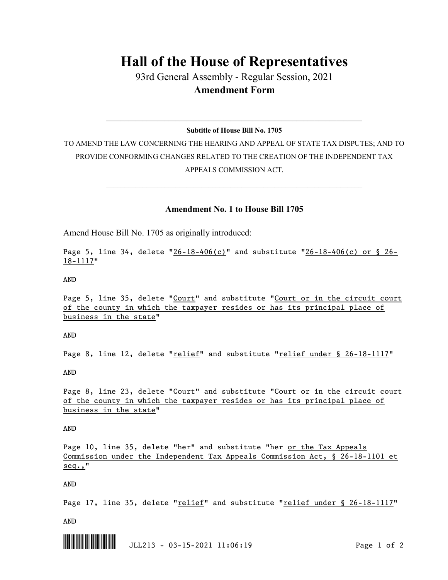## **Hall of the House of Representatives**

93rd General Assembly - Regular Session, 2021 **Amendment Form**

 $\_$  , and the set of the set of the set of the set of the set of the set of the set of the set of the set of the set of the set of the set of the set of the set of the set of the set of the set of the set of the set of th **Subtitle of House Bill No. 1705**

TO AMEND THE LAW CONCERNING THE HEARING AND APPEAL OF STATE TAX DISPUTES; AND TO PROVIDE CONFORMING CHANGES RELATED TO THE CREATION OF THE INDEPENDENT TAX APPEALS COMMISSION ACT.

 $\mathcal{L}_\mathcal{L} = \mathcal{L}_\mathcal{L} = \mathcal{L}_\mathcal{L} = \mathcal{L}_\mathcal{L} = \mathcal{L}_\mathcal{L} = \mathcal{L}_\mathcal{L} = \mathcal{L}_\mathcal{L} = \mathcal{L}_\mathcal{L} = \mathcal{L}_\mathcal{L} = \mathcal{L}_\mathcal{L} = \mathcal{L}_\mathcal{L} = \mathcal{L}_\mathcal{L} = \mathcal{L}_\mathcal{L} = \mathcal{L}_\mathcal{L} = \mathcal{L}_\mathcal{L} = \mathcal{L}_\mathcal{L} = \mathcal{L}_\mathcal{L}$ 

## **Amendment No. 1 to House Bill 1705**

Amend House Bill No. 1705 as originally introduced:

Page 5, line 34, delete " $26-18-406(c)$ " and substitute " $26-18-406(c)$  or § 26-18-1117"

AND

Page 5, line 35, delete "Court" and substitute "Court or in the circuit court of the county in which the taxpayer resides or has its principal place of business in the state"

AND

Page 8, line 12, delete "relief" and substitute "relief under § 26-18-1117"

AND

Page 8, line 23, delete "Court" and substitute "Court or in the circuit court of the county in which the taxpayer resides or has its principal place of business in the state"

AND

Page 10, line 35, delete "her" and substitute "her or the Tax Appeals Commission under the Independent Tax Appeals Commission Act, § 26-18-1101 et seq.,"

AND

Page 17, line 35, delete "relief" and substitute "relief under § 26-18-1117"

AND

\*.JLL213\* JLL213 - 03-15-2021 11:06:19 Page 1 of 2